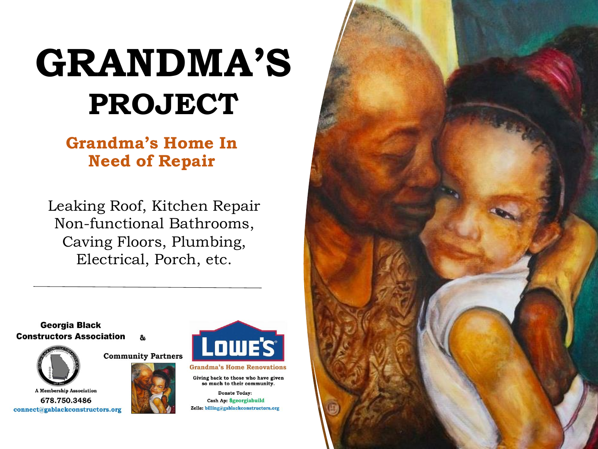# **GRANDMA'S PROJECT**

## **Grandma's Home In Need of Repair**

Leaking Roof, Kitchen Repair Non-functional Bathrooms, Caving Floors, Plumbing, Electrical, Porch, etc.

**Georgia Black Constructors Association** 







**Grandma's Home Renovations** 

**Lowe's** 

Giving back to those who have given so much to their community.

**Donate Today:** Cash Ap: \$georgiabuild Zelle: billing@gablackconstructors.org

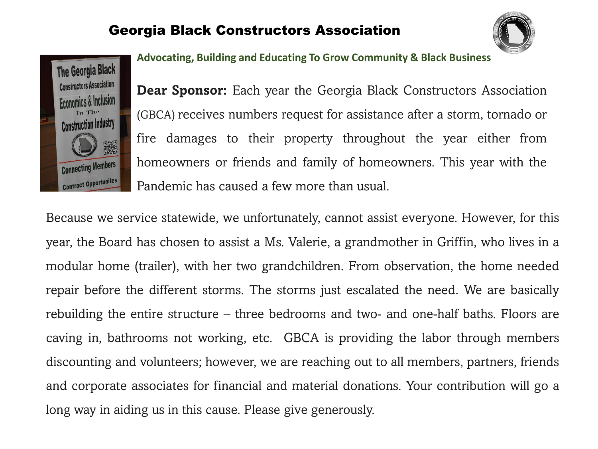### Georgia Black Constructors Association





**Advocating, Building and Educating To Grow Community & Black Business**

**Dear Sponsor:** Each year the Georgia Black Constructors Association (GBCA) receives numbers request for assistance after a storm, tornado or fire damages to their property throughout the year either from homeowners or friends and family of homeowners. This year with the Pandemic has caused a few more than usual.

Because we service statewide, we unfortunately, cannot assist everyone. However, for this year, the Board has chosen to assist a Ms. Valerie, a grandmother in Griffin, who lives in a modular home (trailer), with her two grandchildren. From observation, the home needed repair before the different storms. The storms just escalated the need. We are basically rebuilding the entire structure – three bedrooms and two- and one-half baths. Floors are caving in, bathrooms not working, etc. GBCA is providing the labor through members discounting and volunteers; however, we are reaching out to all members, partners, friends and corporate associates for financial and material donations. Your contribution will go a long way in aiding us in this cause. Please give generously.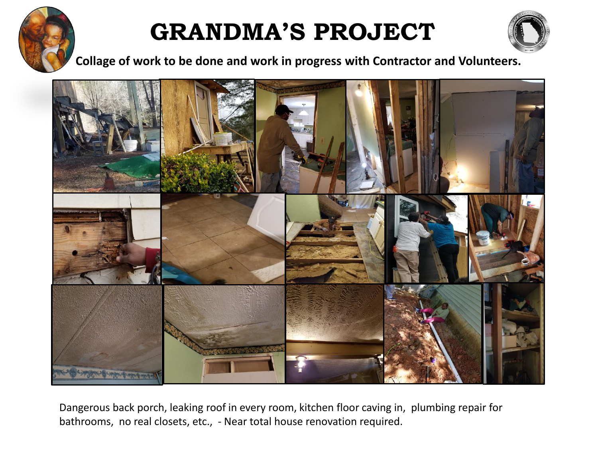

## **GRANDMA'S PROJECT**



**Collage of work to be done and work in progress with Contractor and Volunteers.** 



Dangerous back porch, leaking roof in every room, kitchen floor caving in, plumbing repair for bathrooms, no real closets, etc., - Near total house renovation required.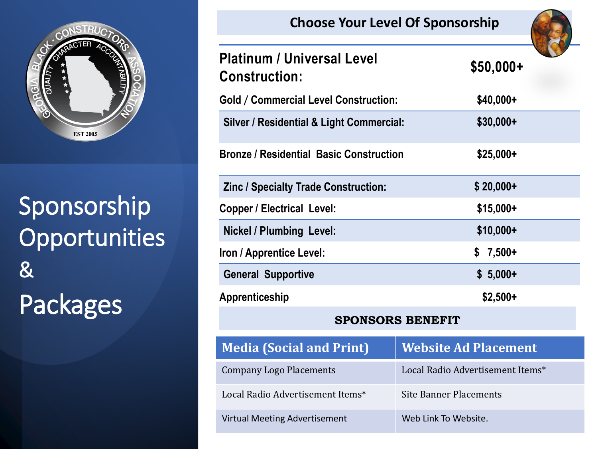

## Sponsorship **Opportunities** & Packages

| CHOOSE TOUT LEVER OF SPONSOFSHIP                          |                                  |  |
|-----------------------------------------------------------|----------------------------------|--|
| <b>Platinum / Universal Level</b><br><b>Construction:</b> | $$50,000+$                       |  |
| <b>Gold / Commercial Level Construction:</b>              | \$40,000+                        |  |
| <b>Silver / Residential &amp; Light Commercial:</b>       | $$30,000+$                       |  |
| <b>Bronze / Residential Basic Construction</b>            | $$25,000+$                       |  |
| Zinc / Specialty Trade Construction:                      | $$20,000+$                       |  |
| <b>Copper / Electrical Level:</b>                         | $$15,000+$                       |  |
| <b>Nickel / Plumbing Level:</b>                           | $$10,000+$                       |  |
| Iron / Apprentice Level:                                  | $7,500+$<br>\$                   |  |
| <b>General Supportive</b>                                 | $$5,000+$                        |  |
| Apprenticeship                                            | $$2,500+$                        |  |
| <b>SPONSORS BENEFIT</b>                                   |                                  |  |
| <b>Media (Social and Print)</b>                           | <b>Website Ad Placement</b>      |  |
| <b>Company Logo Placements</b>                            | Local Radio Advertisement Items* |  |
| Local Radio Advertisement Items*                          | <b>Site Banner Placements</b>    |  |
| <b>Virtual Meeting Advertisement</b>                      | Web Link To Website.             |  |

**Choose Your Level Of Sponsorship**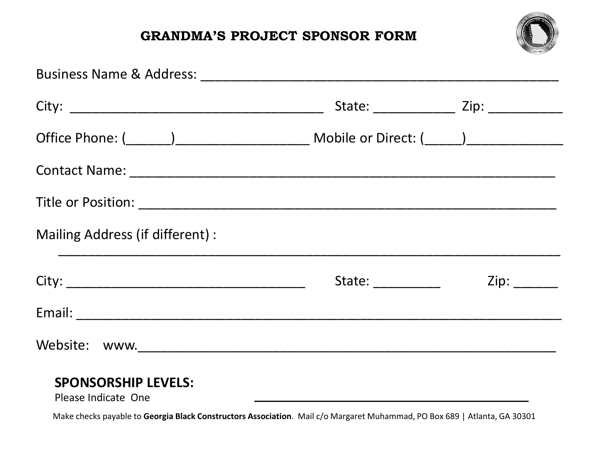### **GRANDMA'S PROJECT SPONSOR FORM**



|                                  |                                                                                                                                                                                                                                | State: ________________ Zip: _____________                                                                     |  |
|----------------------------------|--------------------------------------------------------------------------------------------------------------------------------------------------------------------------------------------------------------------------------|----------------------------------------------------------------------------------------------------------------|--|
|                                  |                                                                                                                                                                                                                                |                                                                                                                |  |
|                                  |                                                                                                                                                                                                                                |                                                                                                                |  |
|                                  |                                                                                                                                                                                                                                |                                                                                                                |  |
| Mailing Address (if different) : |                                                                                                                                                                                                                                |                                                                                                                |  |
|                                  | State: and the state of the state of the state of the state of the state of the state of the state of the state of the state of the state of the state of the state of the state of the state of the state of the state of the | Zip: The Solid State State State State State State State State State State State State State State State State |  |
|                                  |                                                                                                                                                                                                                                |                                                                                                                |  |
|                                  |                                                                                                                                                                                                                                |                                                                                                                |  |
| <b>SPONSORSHIP LEVELS:</b>       |                                                                                                                                                                                                                                |                                                                                                                |  |

#### Please Indicate One

Make checks payable to **Georgia Black Constructors Association**. Mail c/o Margaret Muhammad, PO Box 689 | Atlanta, GA 30301